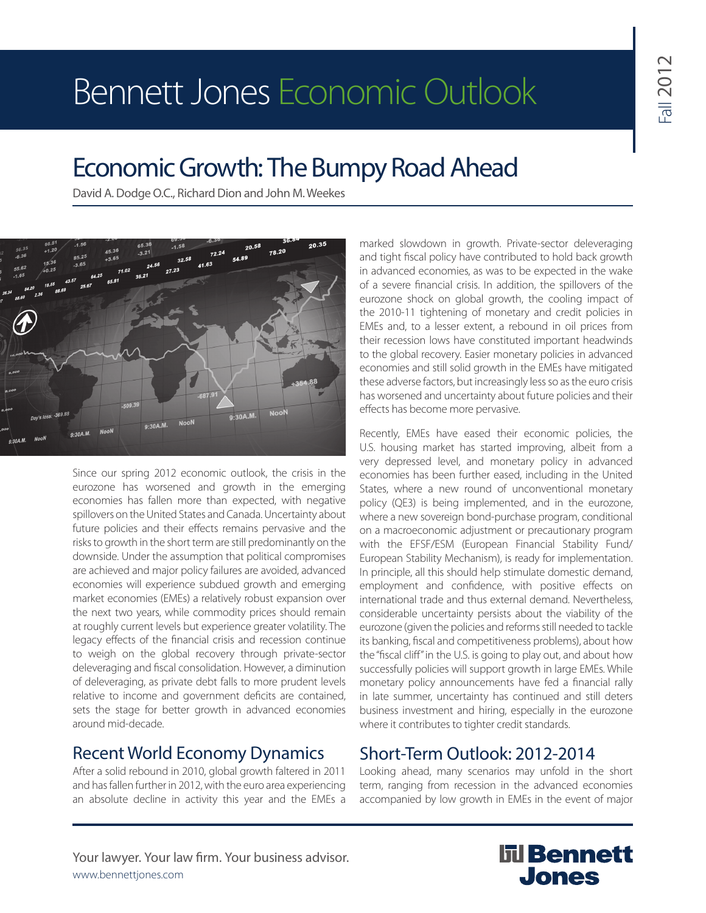# Bennett Jones Economic Outlook

## Economic Growth: The Bumpy Road Ahead

David A. Dodge O.C., Richard Dion and John M. Weekes



Since our spring 2012 economic outlook, the crisis in the eurozone has worsened and growth in the emerging economies has fallen more than expected, with negative spillovers on the United States and Canada. Uncertainty about future policies and their effects remains pervasive and the risks to growth in the short term are still predominantly on the downside. Under the assumption that political compromises are achieved and major policy failures are avoided, advanced economies will experience subdued growth and emerging market economies (EMEs) a relatively robust expansion over the next two years, while commodity prices should remain at roughly current levels but experience greater volatility. The legacy effects of the financial crisis and recession continue to weigh on the global recovery through private-sector deleveraging and fiscal consolidation. However, a diminution of deleveraging, as private debt falls to more prudent levels relative to income and government deficits are contained, sets the stage for better growth in advanced economies around mid-decade.

### Recent World Economy Dynamics

After a solid rebound in 2010, global growth faltered in 2011 and has fallen further in 2012, with the euro area experiencing an absolute decline in activity this year and the EMEs a marked slowdown in growth. Private-sector deleveraging and tight fiscal policy have contributed to hold back growth in advanced economies, as was to be expected in the wake of a severe financial crisis. In addition, the spillovers of the eurozone shock on global growth, the cooling impact of the 2010-11 tightening of monetary and credit policies in EMEs and, to a lesser extent, a rebound in oil prices from their recession lows have constituted important headwinds to the global recovery. Easier monetary policies in advanced economies and still solid growth in the EMEs have mitigated these adverse factors, but increasingly less so as the euro crisis has worsened and uncertainty about future policies and their effects has become more pervasive.

Recently, EMEs have eased their economic policies, the U.S. housing market has started improving, albeit from a very depressed level, and monetary policy in advanced economies has been further eased, including in the United States, where a new round of unconventional monetary policy (QE3) is being implemented, and in the eurozone, where a new sovereign bond-purchase program, conditional on a macroeconomic adjustment or precautionary program with the EFSF/ESM (European Financial Stability Fund/ European Stability Mechanism), is ready for implementation. In principle, all this should help stimulate domestic demand, employment and confidence, with positive effects on international trade and thus external demand. Nevertheless, considerable uncertainty persists about the viability of the eurozone (given the policies and reforms still needed to tackle its banking, fiscal and competitiveness problems), about how the "fiscal cliff" in the U.S. is going to play out, and about how successfully policies will support growth in large EMEs. While monetary policy announcements have fed a financial rally in late summer, uncertainty has continued and still deters business investment and hiring, especially in the eurozone where it contributes to tighter credit standards.

### Short-Term Outlook: 2012-2014

Looking ahead, many scenarios may unfold in the short term, ranging from recession in the advanced economies accompanied by low growth in EMEs in the event of major

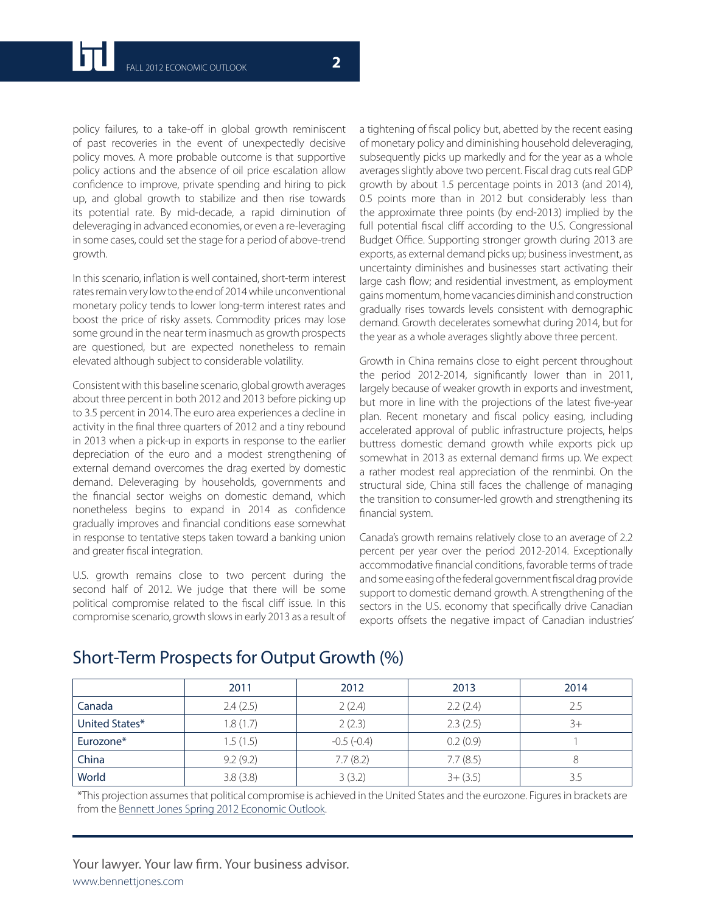policy failures, to a take-off in global growth reminiscent of past recoveries in the event of unexpectedly decisive policy moves. A more probable outcome is that supportive policy actions and the absence of oil price escalation allow confidence to improve, private spending and hiring to pick up, and global growth to stabilize and then rise towards its potential rate. By mid-decade, a rapid diminution of deleveraging in advanced economies, or even a re-leveraging in some cases, could set the stage for a period of above-trend growth.

In this scenario, inflation is well contained, short-term interest rates remain very low to the end of 2014 while unconventional monetary policy tends to lower long-term interest rates and boost the price of risky assets. Commodity prices may lose some ground in the near term inasmuch as growth prospects are questioned, but are expected nonetheless to remain elevated although subject to considerable volatility.

Consistent with this baseline scenario, global growth averages about three percent in both 2012 and 2013 before picking up to 3.5 percent in 2014. The euro area experiences a decline in activity in the final three quarters of 2012 and a tiny rebound in 2013 when a pick-up in exports in response to the earlier depreciation of the euro and a modest strengthening of external demand overcomes the drag exerted by domestic demand. Deleveraging by households, governments and the financial sector weighs on domestic demand, which nonetheless begins to expand in 2014 as confidence gradually improves and financial conditions ease somewhat in response to tentative steps taken toward a banking union and greater fiscal integration.

U.S. growth remains close to two percent during the second half of 2012. We judge that there will be some political compromise related to the fiscal cliff issue. In this compromise scenario, growth slows in early 2013 as a result of a tightening of fiscal policy but, abetted by the recent easing of monetary policy and diminishing household deleveraging, subsequently picks up markedly and for the year as a whole averages slightly above two percent. Fiscal drag cuts real GDP growth by about 1.5 percentage points in 2013 (and 2014), 0.5 points more than in 2012 but considerably less than the approximate three points (by end-2013) implied by the full potential fiscal cliff according to the U.S. Congressional Budget Office. Supporting stronger growth during 2013 are exports, as external demand picks up; business investment, as uncertainty diminishes and businesses start activating their large cash flow; and residential investment, as employment gains momentum, home vacancies diminish and construction gradually rises towards levels consistent with demographic demand. Growth decelerates somewhat during 2014, but for the year as a whole averages slightly above three percent.

Growth in China remains close to eight percent throughout the period 2012-2014, significantly lower than in 2011, largely because of weaker growth in exports and investment, but more in line with the projections of the latest five-year plan. Recent monetary and fiscal policy easing, including accelerated approval of public infrastructure projects, helps buttress domestic demand growth while exports pick up somewhat in 2013 as external demand firms up. We expect a rather modest real appreciation of the renminbi. On the structural side, China still faces the challenge of managing the transition to consumer-led growth and strengthening its financial system.

Canada's growth remains relatively close to an average of 2.2 percent per year over the period 2012-2014. Exceptionally accommodative financial conditions, favorable terms of trade and some easing of the federal government fiscal drag provide support to domestic demand growth. A strengthening of the sectors in the U.S. economy that specifically drive Canadian exports offsets the negative impact of Canadian industries'

|                | 2011     | 2012         | 2013        | 2014 |
|----------------|----------|--------------|-------------|------|
| Canada         | 2.4(2.5) | 2(2.4)       | 2.2(2.4)    |      |
| United States* | 1.8(1.7) | 2(2.3)       | 2.3(2.5)    |      |
| Eurozone*      | 1.5(1.5) | $-0.5(-0.4)$ | 0.2(0.9)    |      |
| China          | 9.2(9.2) | 7.7(8.2)     | 7.7(8.5)    |      |
| World          | 3.8(3.8) | 3(3.2)       | $3 + (3.5)$ |      |

### Short-Term Prospects for Output Growth (%)

\*This projection assumes that political compromise is achieved in the United States and the eurozone. Figures in brackets are from the **Bennett Jones Spring 2012 Economic Outlook**.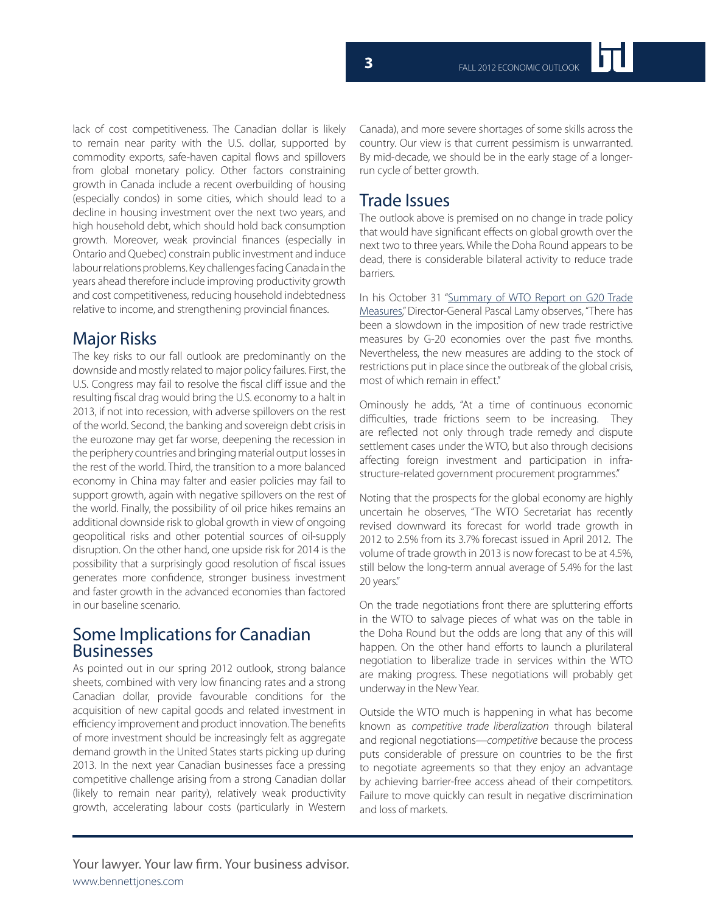lack of cost competitiveness. The Canadian dollar is likely to remain near parity with the U.S. dollar, supported by commodity exports, safe-haven capital flows and spillovers from global monetary policy. Other factors constraining growth in Canada include a recent overbuilding of housing (especially condos) in some cities, which should lead to a decline in housing investment over the next two years, and high household debt, which should hold back consumption growth. Moreover, weak provincial finances (especially in Ontario and Quebec) constrain public investment and induce labour relations problems. Key challenges facing Canada in the years ahead therefore include improving productivity growth and cost competitiveness, reducing household indebtedness relative to income, and strengthening provincial finances.

#### Major Risks

The key risks to our fall outlook are predominantly on the downside and mostly related to major policy failures. First, the U.S. Congress may fail to resolve the fiscal cliff issue and the resulting fiscal drag would bring the U.S. economy to a halt in 2013, if not into recession, with adverse spillovers on the rest of the world. Second, the banking and sovereign debt crisis in the eurozone may get far worse, deepening the recession in the periphery countries and bringing material output losses in the rest of the world. Third, the transition to a more balanced economy in China may falter and easier policies may fail to support growth, again with negative spillovers on the rest of the world. Finally, the possibility of oil price hikes remains an additional downside risk to global growth in view of ongoing geopolitical risks and other potential sources of oil-supply disruption. On the other hand, one upside risk for 2014 is the possibility that a surprisingly good resolution of fiscal issues generates more confidence, stronger business investment and faster growth in the advanced economies than factored in our baseline scenario.

#### Some Implications for Canadian Businesses

As pointed out in our spring 2012 outlook, strong balance sheets, combined with very low financing rates and a strong Canadian dollar, provide favourable conditions for the acquisition of new capital goods and related investment in efficiency improvement and product innovation. The benefits of more investment should be increasingly felt as aggregate demand growth in the United States starts picking up during 2013. In the next year Canadian businesses face a pressing competitive challenge arising from a strong Canadian dollar (likely to remain near parity), relatively weak productivity growth, accelerating labour costs (particularly in Western

Canada), and more severe shortages of some skills across the country. Our view is that current pessimism is unwarranted. By mid-decade, we should be in the early stage of a longerrun cycle of better growth.

#### Trade Issues

The outlook above is premised on no change in trade policy that would have significant effects on global growth over the next two to three years. While the Doha Round appears to be dead, there is considerable bilateral activity to reduce trade barriers.

In his October 31 "Summary of WTO Report on G20 Trade Measures," Director-General Pascal Lamy observes, "There has been a slowdown in the imposition of new trade restrictive measures by G-20 economies over the past five months. Nevertheless, the new measures are adding to the stock of restrictions put in place since the outbreak of the global crisis, most of which remain in effect."

Ominously he adds, "At a time of continuous economic difficulties, trade frictions seem to be increasing. They are reflected not only through trade remedy and dispute settlement cases under the WTO, but also through decisions affecting foreign investment and participation in infrastructure-related government procurement programmes."

Noting that the prospects for the global economy are highly uncertain he observes, "The WTO Secretariat has recently revised downward its forecast for world trade growth in 2012 to 2.5% from its 3.7% forecast issued in April 2012. The volume of trade growth in 2013 is now forecast to be at 4.5%, still below the long-term annual average of 5.4% for the last 20 years."

On the trade negotiations front there are spluttering efforts in the WTO to salvage pieces of what was on the table in the Doha Round but the odds are long that any of this will happen. On the other hand efforts to launch a plurilateral negotiation to liberalize trade in services within the WTO are making progress. These negotiations will probably get underway in the New Year.

Outside the WTO much is happening in what has become known as *competitive trade liberalization* through bilateral and regional negotiations—*competitive* because the process puts considerable of pressure on countries to be the first to negotiate agreements so that they enjoy an advantage by achieving barrier-free access ahead of their competitors. Failure to move quickly can result in negative discrimination and loss of markets.